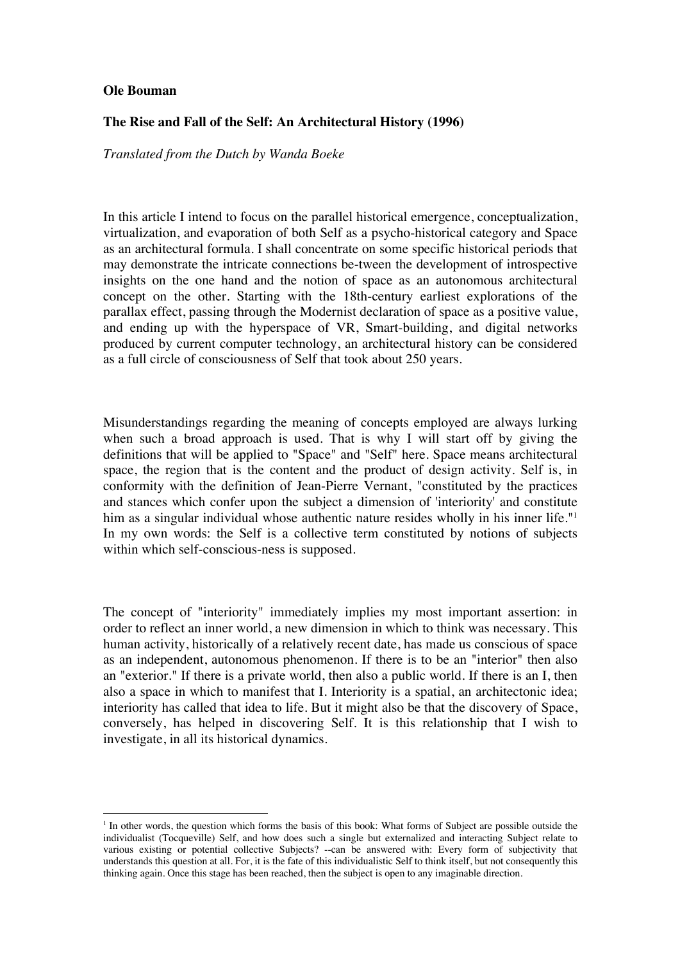## **Ole Bouman**

## **The Rise and Fall of the Self: An Architectural History (1996)**

*Translated from the Dutch by Wanda Boeke*

In this article I intend to focus on the parallel historical emergence, conceptualization, virtualization, and evaporation of both Self as a psycho-historical category and Space as an architectural formula. I shall concentrate on some specific historical periods that may demonstrate the intricate connections be-tween the development of introspective insights on the one hand and the notion of space as an autonomous architectural concept on the other. Starting with the 18th-century earliest explorations of the parallax effect, passing through the Modernist declaration of space as a positive value, and ending up with the hyperspace of VR, Smart-building, and digital networks produced by current computer technology, an architectural history can be considered as a full circle of consciousness of Self that took about 250 years.

Misunderstandings regarding the meaning of concepts employed are always lurking when such a broad approach is used. That is why I will start off by giving the definitions that will be applied to "Space" and "Self" here. Space means architectural space, the region that is the content and the product of design activity. Self is, in conformity with the definition of Jean-Pierre Vernant, "constituted by the practices and stances which confer upon the subject a dimension of 'interiority' and constitute him as a singular individual whose authentic nature resides wholly in his inner life."<sup>1</sup> In my own words: the Self is a collective term constituted by notions of subjects within which self-conscious-ness is supposed.

The concept of "interiority" immediately implies my most important assertion: in order to reflect an inner world, a new dimension in which to think was necessary. This human activity, historically of a relatively recent date, has made us conscious of space as an independent, autonomous phenomenon. If there is to be an "interior" then also an "exterior." If there is a private world, then also a public world. If there is an I, then also a space in which to manifest that I. Interiority is a spatial, an architectonic idea; interiority has called that idea to life. But it might also be that the discovery of Space, conversely, has helped in discovering Self. It is this relationship that I wish to investigate, in all its historical dynamics.

<sup>&</sup>lt;sup>1</sup> In other words, the question which forms the basis of this book: What forms of Subject are possible outside the individualist (Tocqueville) Self, and how does such a single but externalized and interacting Subject relate to various existing or potential collective Subjects? --can be answered with: Every form of subjectivity that understands this question at all. For, it is the fate of this individualistic Self to think itself, but not consequently this thinking again. Once this stage has been reached, then the subject is open to any imaginable direction.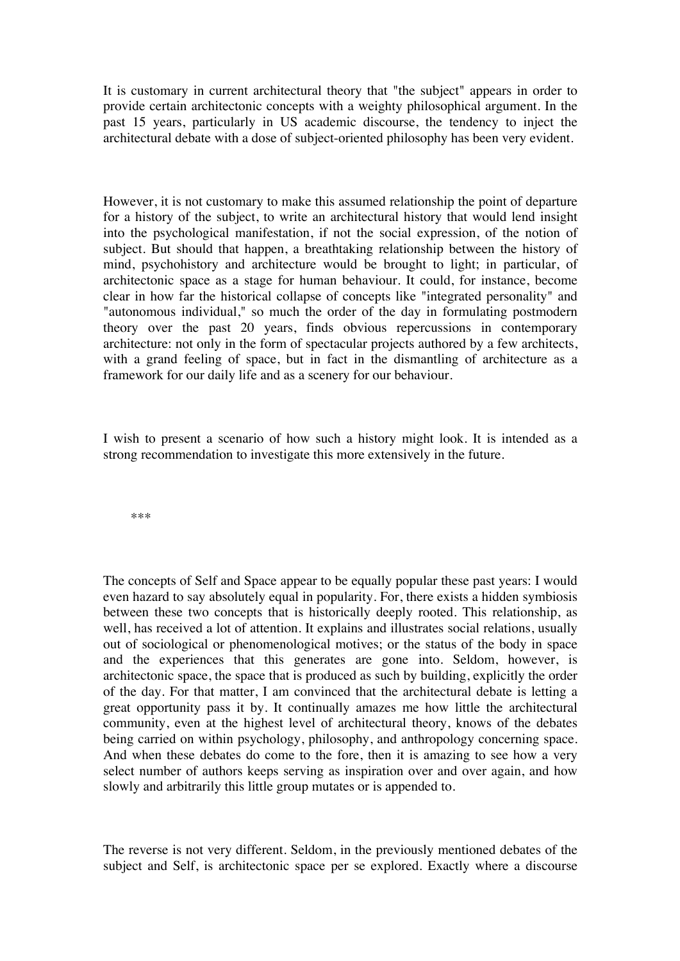It is customary in current architectural theory that "the subject" appears in order to provide certain architectonic concepts with a weighty philosophical argument. In the past 15 years, particularly in US academic discourse, the tendency to inject the architectural debate with a dose of subject-oriented philosophy has been very evident.

However, it is not customary to make this assumed relationship the point of departure for a history of the subject, to write an architectural history that would lend insight into the psychological manifestation, if not the social expression, of the notion of subject. But should that happen, a breathtaking relationship between the history of mind, psychohistory and architecture would be brought to light; in particular, of architectonic space as a stage for human behaviour. It could, for instance, become clear in how far the historical collapse of concepts like "integrated personality" and "autonomous individual," so much the order of the day in formulating postmodern theory over the past 20 years, finds obvious repercussions in contemporary architecture: not only in the form of spectacular projects authored by a few architects, with a grand feeling of space, but in fact in the dismantling of architecture as a framework for our daily life and as a scenery for our behaviour.

I wish to present a scenario of how such a history might look. It is intended as a strong recommendation to investigate this more extensively in the future.

\*\*\*

The concepts of Self and Space appear to be equally popular these past years: I would even hazard to say absolutely equal in popularity. For, there exists a hidden symbiosis between these two concepts that is historically deeply rooted. This relationship, as well, has received a lot of attention. It explains and illustrates social relations, usually out of sociological or phenomenological motives; or the status of the body in space and the experiences that this generates are gone into. Seldom, however, is architectonic space, the space that is produced as such by building, explicitly the order of the day. For that matter, I am convinced that the architectural debate is letting a great opportunity pass it by. It continually amazes me how little the architectural community, even at the highest level of architectural theory, knows of the debates being carried on within psychology, philosophy, and anthropology concerning space. And when these debates do come to the fore, then it is amazing to see how a very select number of authors keeps serving as inspiration over and over again, and how slowly and arbitrarily this little group mutates or is appended to.

The reverse is not very different. Seldom, in the previously mentioned debates of the subject and Self, is architectonic space per se explored. Exactly where a discourse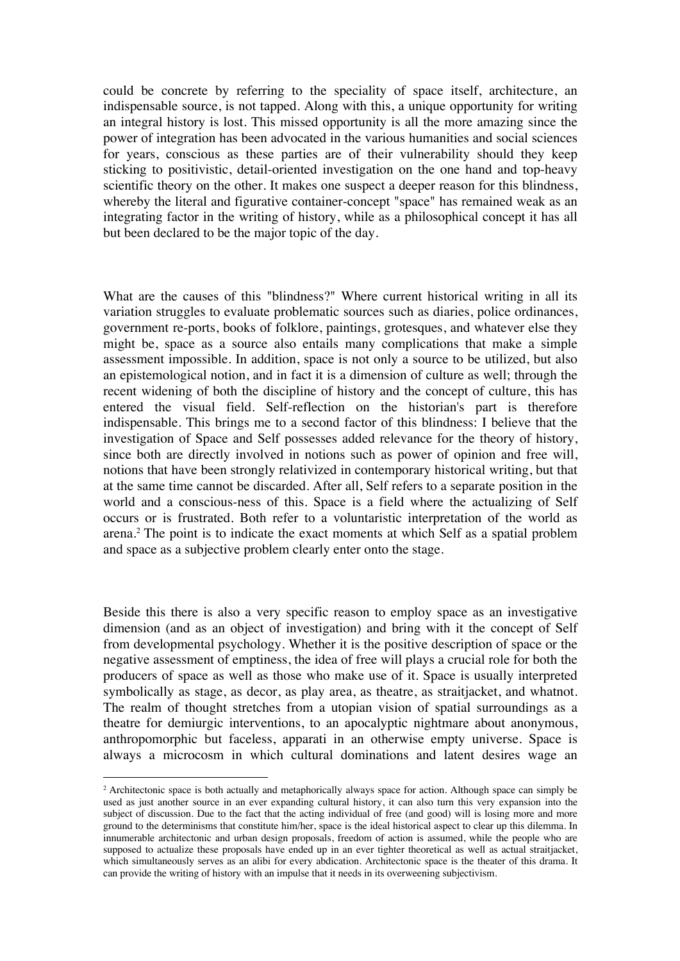could be concrete by referring to the speciality of space itself, architecture, an indispensable source, is not tapped. Along with this, a unique opportunity for writing an integral history is lost. This missed opportunity is all the more amazing since the power of integration has been advocated in the various humanities and social sciences for years, conscious as these parties are of their vulnerability should they keep sticking to positivistic, detail-oriented investigation on the one hand and top-heavy scientific theory on the other. It makes one suspect a deeper reason for this blindness, whereby the literal and figurative container-concept "space" has remained weak as an integrating factor in the writing of history, while as a philosophical concept it has all but been declared to be the major topic of the day.

What are the causes of this "blindness?" Where current historical writing in all its variation struggles to evaluate problematic sources such as diaries, police ordinances, government re-ports, books of folklore, paintings, grotesques, and whatever else they might be, space as a source also entails many complications that make a simple assessment impossible. In addition, space is not only a source to be utilized, but also an epistemological notion, and in fact it is a dimension of culture as well; through the recent widening of both the discipline of history and the concept of culture, this has entered the visual field. Self-reflection on the historian's part is therefore indispensable. This brings me to a second factor of this blindness: I believe that the investigation of Space and Self possesses added relevance for the theory of history, since both are directly involved in notions such as power of opinion and free will, notions that have been strongly relativized in contemporary historical writing, but that at the same time cannot be discarded. After all, Self refers to a separate position in the world and a conscious-ness of this. Space is a field where the actualizing of Self occurs or is frustrated. Both refer to a voluntaristic interpretation of the world as arena.2 The point is to indicate the exact moments at which Self as a spatial problem and space as a subjective problem clearly enter onto the stage.

Beside this there is also a very specific reason to employ space as an investigative dimension (and as an object of investigation) and bring with it the concept of Self from developmental psychology. Whether it is the positive description of space or the negative assessment of emptiness, the idea of free will plays a crucial role for both the producers of space as well as those who make use of it. Space is usually interpreted symbolically as stage, as decor, as play area, as theatre, as straitjacket, and whatnot. The realm of thought stretches from a utopian vision of spatial surroundings as a theatre for demiurgic interventions, to an apocalyptic nightmare about anonymous, anthropomorphic but faceless, apparati in an otherwise empty universe. Space is always a microcosm in which cultural dominations and latent desires wage an

<sup>&</sup>lt;sup>2</sup> Architectonic space is both actually and metaphorically always space for action. Although space can simply be used as just another source in an ever expanding cultural history, it can also turn this very expansion into the subject of discussion. Due to the fact that the acting individual of free (and good) will is losing more and more ground to the determinisms that constitute him/her, space is the ideal historical aspect to clear up this dilemma. In innumerable architectonic and urban design proposals, freedom of action is assumed, while the people who are supposed to actualize these proposals have ended up in an ever tighter theoretical as well as actual straitjacket, which simultaneously serves as an alibi for every abdication. Architectonic space is the theater of this drama. It can provide the writing of history with an impulse that it needs in its overweening subjectivism.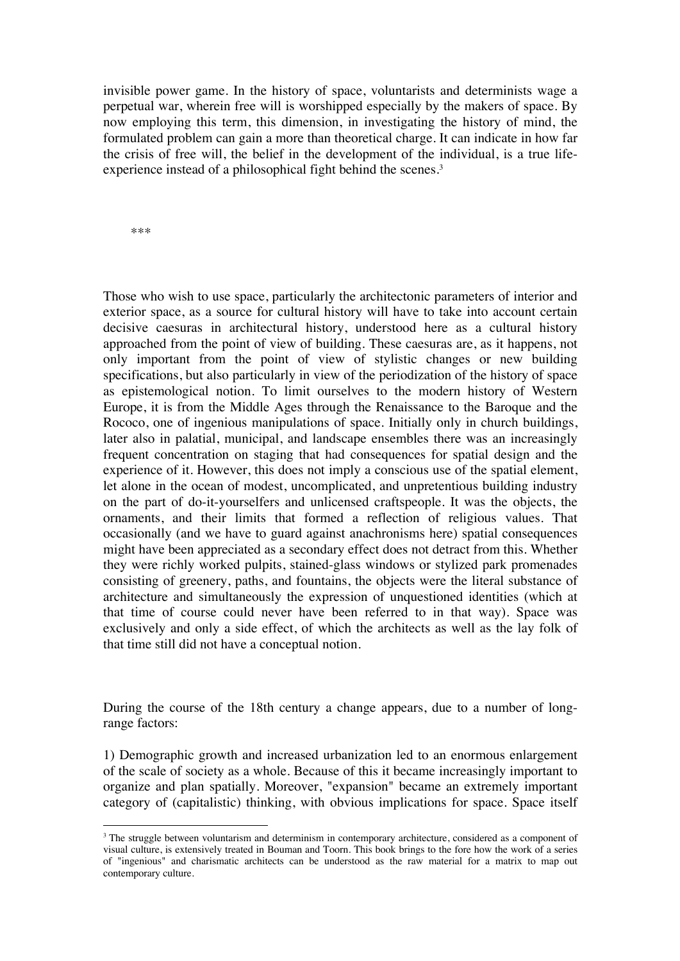invisible power game. In the history of space, voluntarists and determinists wage a perpetual war, wherein free will is worshipped especially by the makers of space. By now employing this term, this dimension, in investigating the history of mind, the formulated problem can gain a more than theoretical charge. It can indicate in how far the crisis of free will, the belief in the development of the individual, is a true lifeexperience instead of a philosophical fight behind the scenes.<sup>3</sup>

\*\*\*

Those who wish to use space, particularly the architectonic parameters of interior and exterior space, as a source for cultural history will have to take into account certain decisive caesuras in architectural history, understood here as a cultural history approached from the point of view of building. These caesuras are, as it happens, not only important from the point of view of stylistic changes or new building specifications, but also particularly in view of the periodization of the history of space as epistemological notion. To limit ourselves to the modern history of Western Europe, it is from the Middle Ages through the Renaissance to the Baroque and the Rococo, one of ingenious manipulations of space. Initially only in church buildings, later also in palatial, municipal, and landscape ensembles there was an increasingly frequent concentration on staging that had consequences for spatial design and the experience of it. However, this does not imply a conscious use of the spatial element, let alone in the ocean of modest, uncomplicated, and unpretentious building industry on the part of do-it-yourselfers and unlicensed craftspeople. It was the objects, the ornaments, and their limits that formed a reflection of religious values. That occasionally (and we have to guard against anachronisms here) spatial consequences might have been appreciated as a secondary effect does not detract from this. Whether they were richly worked pulpits, stained-glass windows or stylized park promenades consisting of greenery, paths, and fountains, the objects were the literal substance of architecture and simultaneously the expression of unquestioned identities (which at that time of course could never have been referred to in that way). Space was exclusively and only a side effect, of which the architects as well as the lay folk of that time still did not have a conceptual notion.

During the course of the 18th century a change appears, due to a number of longrange factors:

1) Demographic growth and increased urbanization led to an enormous enlargement of the scale of society as a whole. Because of this it became increasingly important to organize and plan spatially. Moreover, "expansion" became an extremely important category of (capitalistic) thinking, with obvious implications for space. Space itself

<sup>&</sup>lt;sup>3</sup> The struggle between voluntarism and determinism in contemporary architecture, considered as a component of visual culture, is extensively treated in Bouman and Toorn. This book brings to the fore how the work of a series of "ingenious" and charismatic architects can be understood as the raw material for a matrix to map out contemporary culture.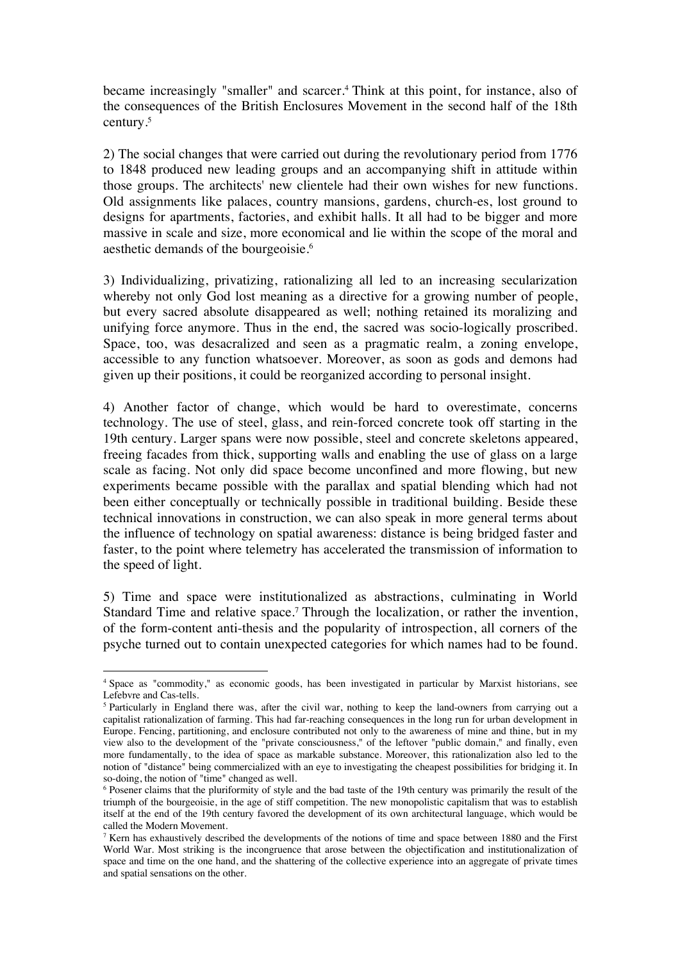became increasingly "smaller" and scarcer. <sup>4</sup> Think at this point, for instance, also of the consequences of the British Enclosures Movement in the second half of the 18th century.5

2) The social changes that were carried out during the revolutionary period from 1776 to 1848 produced new leading groups and an accompanying shift in attitude within those groups. The architects' new clientele had their own wishes for new functions. Old assignments like palaces, country mansions, gardens, church-es, lost ground to designs for apartments, factories, and exhibit halls. It all had to be bigger and more massive in scale and size, more economical and lie within the scope of the moral and aesthetic demands of the bourgeoisie.6

3) Individualizing, privatizing, rationalizing all led to an increasing secularization whereby not only God lost meaning as a directive for a growing number of people, but every sacred absolute disappeared as well; nothing retained its moralizing and unifying force anymore. Thus in the end, the sacred was socio-logically proscribed. Space, too, was desacralized and seen as a pragmatic realm, a zoning envelope, accessible to any function whatsoever. Moreover, as soon as gods and demons had given up their positions, it could be reorganized according to personal insight.

4) Another factor of change, which would be hard to overestimate, concerns technology. The use of steel, glass, and rein-forced concrete took off starting in the 19th century. Larger spans were now possible, steel and concrete skeletons appeared, freeing facades from thick, supporting walls and enabling the use of glass on a large scale as facing. Not only did space become unconfined and more flowing, but new experiments became possible with the parallax and spatial blending which had not been either conceptually or technically possible in traditional building. Beside these technical innovations in construction, we can also speak in more general terms about the influence of technology on spatial awareness: distance is being bridged faster and faster, to the point where telemetry has accelerated the transmission of information to the speed of light.

5) Time and space were institutionalized as abstractions, culminating in World Standard Time and relative space.<sup>7</sup> Through the localization, or rather the invention, of the form-content anti-thesis and the popularity of introspection, all corners of the psyche turned out to contain unexpected categories for which names had to be found.

<sup>4</sup> Space as "commodity," as economic goods, has been investigated in particular by Marxist historians, see Lefebvre and Cas-tells.

<sup>5</sup> Particularly in England there was, after the civil war, nothing to keep the land-owners from carrying out a capitalist rationalization of farming. This had far-reaching consequences in the long run for urban development in Europe. Fencing, partitioning, and enclosure contributed not only to the awareness of mine and thine, but in my view also to the development of the "private consciousness," of the leftover "public domain," and finally, even more fundamentally, to the idea of space as markable substance. Moreover, this rationalization also led to the notion of "distance" being commercialized with an eye to investigating the cheapest possibilities for bridging it. In so-doing, the notion of "time" changed as well.

<sup>6</sup> Posener claims that the pluriformity of style and the bad taste of the 19th century was primarily the result of the triumph of the bourgeoisie, in the age of stiff competition. The new monopolistic capitalism that was to establish itself at the end of the 19th century favored the development of its own architectural language, which would be called the Modern Movement.

<sup>7</sup> Kern has exhaustively described the developments of the notions of time and space between 1880 and the First World War. Most striking is the incongruence that arose between the objectification and institutionalization of space and time on the one hand, and the shattering of the collective experience into an aggregate of private times and spatial sensations on the other.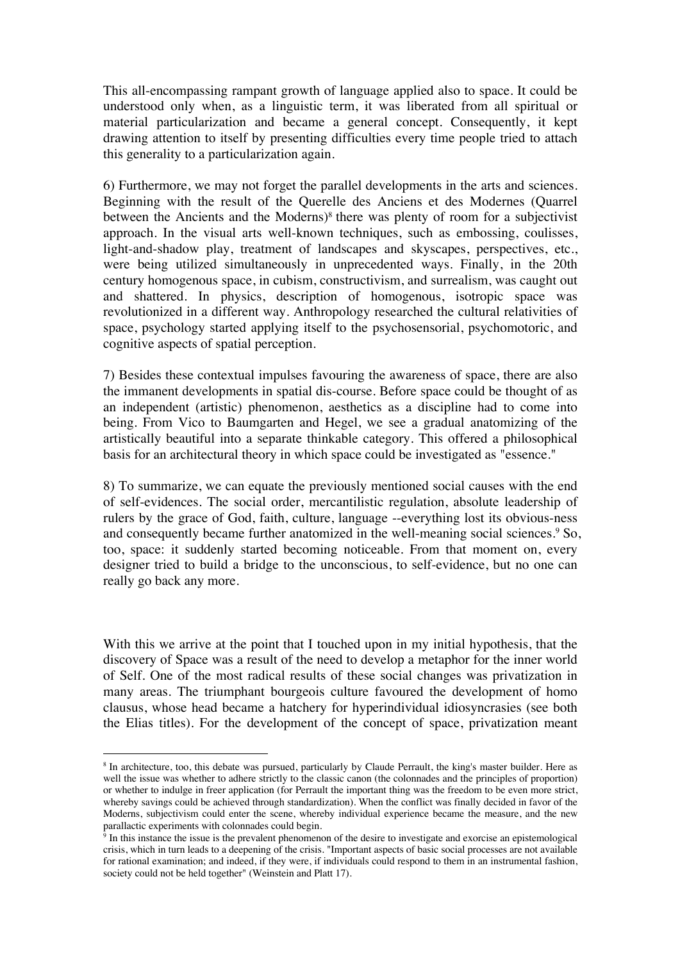This all-encompassing rampant growth of language applied also to space. It could be understood only when, as a linguistic term, it was liberated from all spiritual or material particularization and became a general concept. Consequently, it kept drawing attention to itself by presenting difficulties every time people tried to attach this generality to a particularization again.

6) Furthermore, we may not forget the parallel developments in the arts and sciences. Beginning with the result of the Querelle des Anciens et des Modernes (Quarrel between the Ancients and the Moderns)<sup>8</sup> there was plenty of room for a subjectivist approach. In the visual arts well-known techniques, such as embossing, coulisses, light-and-shadow play, treatment of landscapes and skyscapes, perspectives, etc., were being utilized simultaneously in unprecedented ways. Finally, in the 20th century homogenous space, in cubism, constructivism, and surrealism, was caught out and shattered. In physics, description of homogenous, isotropic space was revolutionized in a different way. Anthropology researched the cultural relativities of space, psychology started applying itself to the psychosensorial, psychomotoric, and cognitive aspects of spatial perception.

7) Besides these contextual impulses favouring the awareness of space, there are also the immanent developments in spatial dis-course. Before space could be thought of as an independent (artistic) phenomenon, aesthetics as a discipline had to come into being. From Vico to Baumgarten and Hegel, we see a gradual anatomizing of the artistically beautiful into a separate thinkable category. This offered a philosophical basis for an architectural theory in which space could be investigated as "essence."

8) To summarize, we can equate the previously mentioned social causes with the end of self-evidences. The social order, mercantilistic regulation, absolute leadership of rulers by the grace of God, faith, culture, language --everything lost its obvious-ness and consequently became further anatomized in the well-meaning social sciences.<sup>9</sup> So, too, space: it suddenly started becoming noticeable. From that moment on, every designer tried to build a bridge to the unconscious, to self-evidence, but no one can really go back any more.

With this we arrive at the point that I touched upon in my initial hypothesis, that the discovery of Space was a result of the need to develop a metaphor for the inner world of Self. One of the most radical results of these social changes was privatization in many areas. The triumphant bourgeois culture favoured the development of homo clausus, whose head became a hatchery for hyperindividual idiosyncrasies (see both the Elias titles). For the development of the concept of space, privatization meant

<sup>&</sup>lt;sup>8</sup> In architecture, too, this debate was pursued, particularly by Claude Perrault, the king's master builder. Here as well the issue was whether to adhere strictly to the classic canon (the colonnades and the principles of proportion) or whether to indulge in freer application (for Perrault the important thing was the freedom to be even more strict, whereby savings could be achieved through standardization). When the conflict was finally decided in favor of the Moderns, subjectivism could enter the scene, whereby individual experience became the measure, and the new parallactic experiments with colonnades could begin.

 $9$  In this instance the issue is the prevalent phenomenon of the desire to investigate and exorcise an epistemological crisis, which in turn leads to a deepening of the crisis. "Important aspects of basic social processes are not available for rational examination; and indeed, if they were, if individuals could respond to them in an instrumental fashion, society could not be held together" (Weinstein and Platt 17).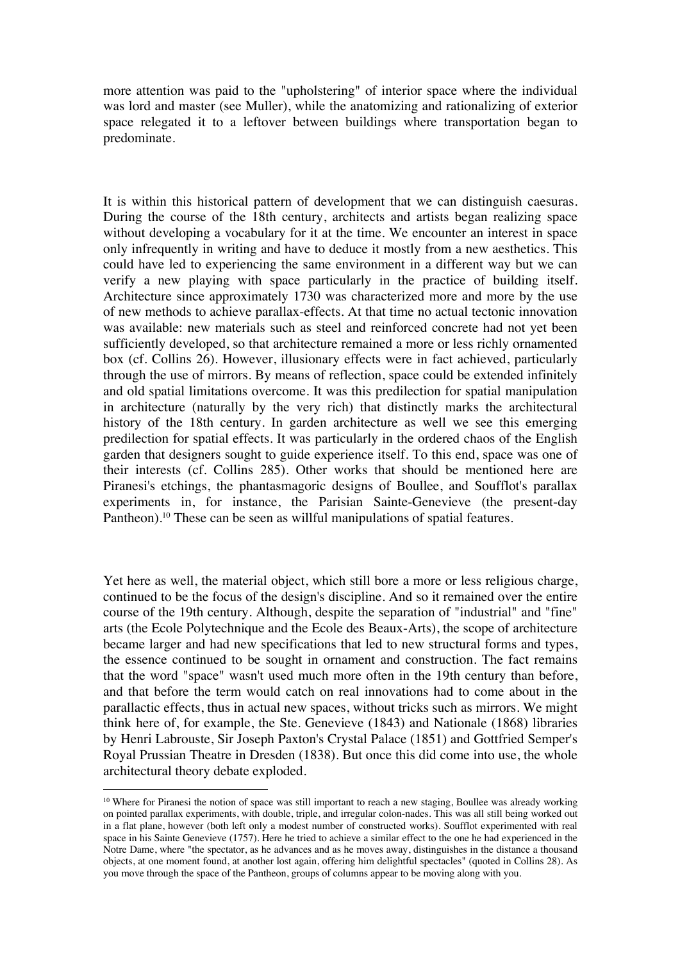more attention was paid to the "upholstering" of interior space where the individual was lord and master (see Muller), while the anatomizing and rationalizing of exterior space relegated it to a leftover between buildings where transportation began to predominate.

It is within this historical pattern of development that we can distinguish caesuras. During the course of the 18th century, architects and artists began realizing space without developing a vocabulary for it at the time. We encounter an interest in space only infrequently in writing and have to deduce it mostly from a new aesthetics. This could have led to experiencing the same environment in a different way but we can verify a new playing with space particularly in the practice of building itself. Architecture since approximately 1730 was characterized more and more by the use of new methods to achieve parallax-effects. At that time no actual tectonic innovation was available: new materials such as steel and reinforced concrete had not yet been sufficiently developed, so that architecture remained a more or less richly ornamented box (cf. Collins 26). However, illusionary effects were in fact achieved, particularly through the use of mirrors. By means of reflection, space could be extended infinitely and old spatial limitations overcome. It was this predilection for spatial manipulation in architecture (naturally by the very rich) that distinctly marks the architectural history of the 18th century. In garden architecture as well we see this emerging predilection for spatial effects. It was particularly in the ordered chaos of the English garden that designers sought to guide experience itself. To this end, space was one of their interests (cf. Collins 285). Other works that should be mentioned here are Piranesi's etchings, the phantasmagoric designs of Boullee, and Soufflot's parallax experiments in, for instance, the Parisian Sainte-Genevieve (the present-day Pantheon).<sup>10</sup> These can be seen as willful manipulations of spatial features.

Yet here as well, the material object, which still bore a more or less religious charge, continued to be the focus of the design's discipline. And so it remained over the entire course of the 19th century. Although, despite the separation of "industrial" and "fine" arts (the Ecole Polytechnique and the Ecole des Beaux-Arts), the scope of architecture became larger and had new specifications that led to new structural forms and types, the essence continued to be sought in ornament and construction. The fact remains that the word "space" wasn't used much more often in the 19th century than before, and that before the term would catch on real innovations had to come about in the parallactic effects, thus in actual new spaces, without tricks such as mirrors. We might think here of, for example, the Ste. Genevieve (1843) and Nationale (1868) libraries by Henri Labrouste, Sir Joseph Paxton's Crystal Palace (1851) and Gottfried Semper's Royal Prussian Theatre in Dresden (1838). But once this did come into use, the whole architectural theory debate exploded.

<sup>&</sup>lt;sup>10</sup> Where for Piranesi the notion of space was still important to reach a new staging, Boullee was already working on pointed parallax experiments, with double, triple, and irregular colon-nades. This was all still being worked out in a flat plane, however (both left only a modest number of constructed works). Soufflot experimented with real space in his Sainte Genevieve (1757). Here he tried to achieve a similar effect to the one he had experienced in the Notre Dame, where "the spectator, as he advances and as he moves away, distinguishes in the distance a thousand objects, at one moment found, at another lost again, offering him delightful spectacles" (quoted in Collins 28). As you move through the space of the Pantheon, groups of columns appear to be moving along with you.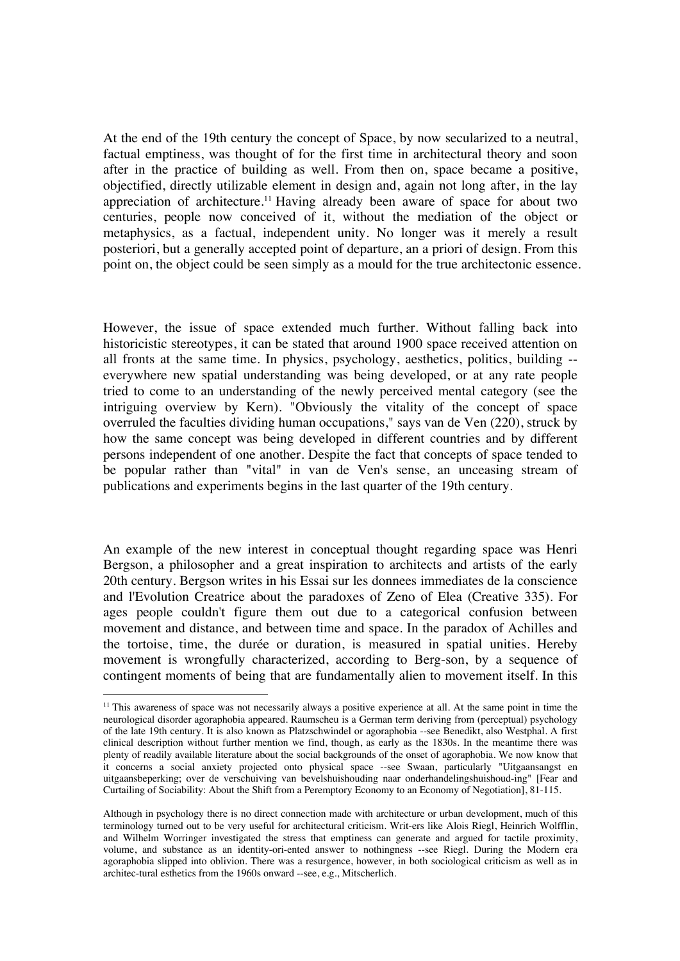At the end of the 19th century the concept of Space, by now secularized to a neutral, factual emptiness, was thought of for the first time in architectural theory and soon after in the practice of building as well. From then on, space became a positive, objectified, directly utilizable element in design and, again not long after, in the lay appreciation of architecture.11 Having already been aware of space for about two centuries, people now conceived of it, without the mediation of the object or metaphysics, as a factual, independent unity. No longer was it merely a result posteriori, but a generally accepted point of departure, an a priori of design. From this point on, the object could be seen simply as a mould for the true architectonic essence.

However, the issue of space extended much further. Without falling back into historicistic stereotypes, it can be stated that around 1900 space received attention on all fronts at the same time. In physics, psychology, aesthetics, politics, building - everywhere new spatial understanding was being developed, or at any rate people tried to come to an understanding of the newly perceived mental category (see the intriguing overview by Kern). "Obviously the vitality of the concept of space overruled the faculties dividing human occupations," says van de Ven (220), struck by how the same concept was being developed in different countries and by different persons independent of one another. Despite the fact that concepts of space tended to be popular rather than "vital" in van de Ven's sense, an unceasing stream of publications and experiments begins in the last quarter of the 19th century.

An example of the new interest in conceptual thought regarding space was Henri Bergson, a philosopher and a great inspiration to architects and artists of the early 20th century. Bergson writes in his Essai sur les donnees immediates de la conscience and l'Evolution Creatrice about the paradoxes of Zeno of Elea (Creative 335). For ages people couldn't figure them out due to a categorical confusion between movement and distance, and between time and space. In the paradox of Achilles and the tortoise, time, the durée or duration, is measured in spatial unities. Hereby movement is wrongfully characterized, according to Berg-son, by a sequence of contingent moments of being that are fundamentally alien to movement itself. In this

<sup>&</sup>lt;sup>11</sup> This awareness of space was not necessarily always a positive experience at all. At the same point in time the neurological disorder agoraphobia appeared. Raumscheu is a German term deriving from (perceptual) psychology of the late 19th century. It is also known as Platzschwindel or agoraphobia --see Benedikt, also Westphal. A first clinical description without further mention we find, though, as early as the 1830s. In the meantime there was plenty of readily available literature about the social backgrounds of the onset of agoraphobia. We now know that it concerns a social anxiety projected onto physical space --see Swaan, particularly "Uitgaansangst en uitgaansbeperking; over de verschuiving van bevelshuishouding naar onderhandelingshuishoud-ing" [Fear and Curtailing of Sociability: About the Shift from a Peremptory Economy to an Economy of Negotiation], 81-115.

Although in psychology there is no direct connection made with architecture or urban development, much of this terminology turned out to be very useful for architectural criticism. Writ-ers like Alois Riegl, Heinrich Wolfflin, and Wilhelm Worringer investigated the stress that emptiness can generate and argued for tactile proximity, volume, and substance as an identity-ori-ented answer to nothingness --see Riegl. During the Modern era agoraphobia slipped into oblivion. There was a resurgence, however, in both sociological criticism as well as in architec-tural esthetics from the 1960s onward --see, e.g., Mitscherlich.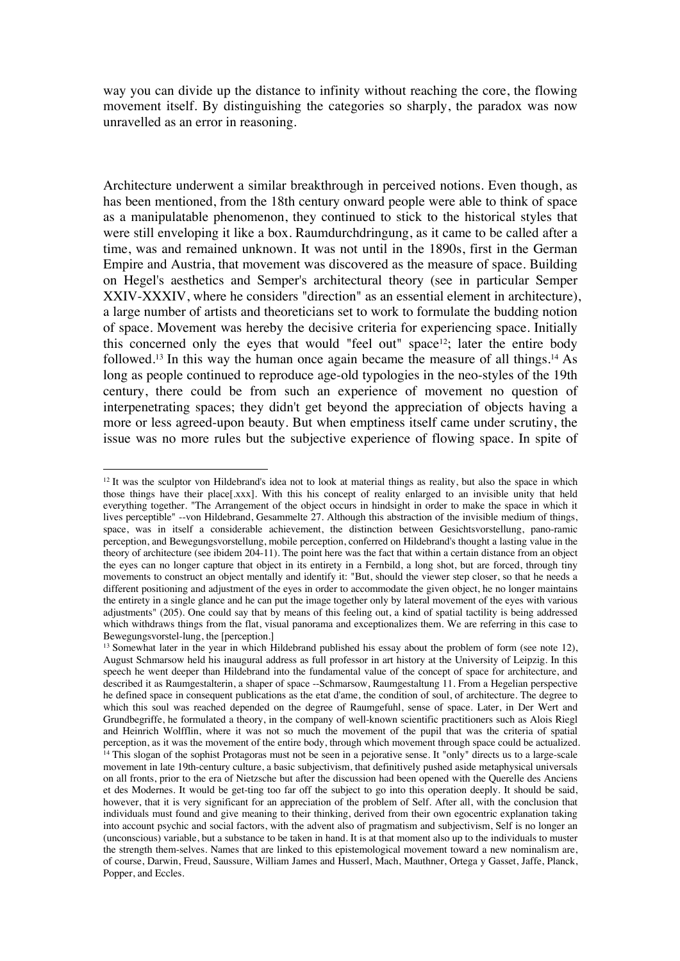way you can divide up the distance to infinity without reaching the core, the flowing movement itself. By distinguishing the categories so sharply, the paradox was now unravelled as an error in reasoning.

Architecture underwent a similar breakthrough in perceived notions. Even though, as has been mentioned, from the 18th century onward people were able to think of space as a manipulatable phenomenon, they continued to stick to the historical styles that were still enveloping it like a box. Raumdurchdringung, as it came to be called after a time, was and remained unknown. It was not until in the 1890s, first in the German Empire and Austria, that movement was discovered as the measure of space. Building on Hegel's aesthetics and Semper's architectural theory (see in particular Semper XXIV-XXXIV, where he considers "direction" as an essential element in architecture), a large number of artists and theoreticians set to work to formulate the budding notion of space. Movement was hereby the decisive criteria for experiencing space. Initially this concerned only the eyes that would "feel out" space<sup>12</sup>; later the entire body followed.13 In this way the human once again became the measure of all things.14 As long as people continued to reproduce age-old typologies in the neo-styles of the 19th century, there could be from such an experience of movement no question of interpenetrating spaces; they didn't get beyond the appreciation of objects having a more or less agreed-upon beauty. But when emptiness itself came under scrutiny, the issue was no more rules but the subjective experience of flowing space. In spite of

 $12$  It was the sculptor von Hildebrand's idea not to look at material things as reality, but also the space in which those things have their place[.xxx]. With this his concept of reality enlarged to an invisible unity that held everything together. "The Arrangement of the object occurs in hindsight in order to make the space in which it lives perceptible" --von Hildebrand, Gesammelte 27. Although this abstraction of the invisible medium of things, space, was in itself a considerable achievement, the distinction between Gesichtsvorstellung, pano-ramic perception, and Bewegungsvorstellung, mobile perception, conferred on Hildebrand's thought a lasting value in the theory of architecture (see ibidem 204-11). The point here was the fact that within a certain distance from an object the eyes can no longer capture that object in its entirety in a Fernbild, a long shot, but are forced, through tiny movements to construct an object mentally and identify it: "But, should the viewer step closer, so that he needs a different positioning and adjustment of the eyes in order to accommodate the given object, he no longer maintains the entirety in a single glance and he can put the image together only by lateral movement of the eyes with various adjustments" (205). One could say that by means of this feeling out, a kind of spatial tactility is being addressed which withdraws things from the flat, visual panorama and exceptionalizes them. We are referring in this case to Bewegungsvorstel-lung, the [perception.]

<sup>&</sup>lt;sup>13</sup> Somewhat later in the year in which Hildebrand published his essay about the problem of form (see note 12), August Schmarsow held his inaugural address as full professor in art history at the University of Leipzig. In this speech he went deeper than Hildebrand into the fundamental value of the concept of space for architecture, and described it as Raumgestalterin, a shaper of space --Schmarsow, Raumgestaltung 11. From a Hegelian perspective he defined space in consequent publications as the etat d'ame, the condition of soul, of architecture. The degree to which this soul was reached depended on the degree of Raumgefuhl, sense of space. Later, in Der Wert and Grundbegriffe, he formulated a theory, in the company of well-known scientific practitioners such as Alois Riegl and Heinrich Wolfflin, where it was not so much the movement of the pupil that was the criteria of spatial perception, as it was the movement of the entire body, through which movement through space could be actualized. <sup>14</sup> This slogan of the sophist Protagoras must not be seen in a pejorative sense. It "only" directs us to a large-scale movement in late 19th-century culture, a basic subjectivism, that definitively pushed aside metaphysical universals on all fronts, prior to the era of Nietzsche but after the discussion had been opened with the Querelle des Anciens et des Modernes. It would be get-ting too far off the subject to go into this operation deeply. It should be said, however, that it is very significant for an appreciation of the problem of Self. After all, with the conclusion that individuals must found and give meaning to their thinking, derived from their own egocentric explanation taking into account psychic and social factors, with the advent also of pragmatism and subjectivism, Self is no longer an (unconscious) variable, but a substance to be taken in hand. It is at that moment also up to the individuals to muster the strength them-selves. Names that are linked to this epistemological movement toward a new nominalism are, of course, Darwin, Freud, Saussure, William James and Husserl, Mach, Mauthner, Ortega y Gasset, Jaffe, Planck, Popper, and Eccles.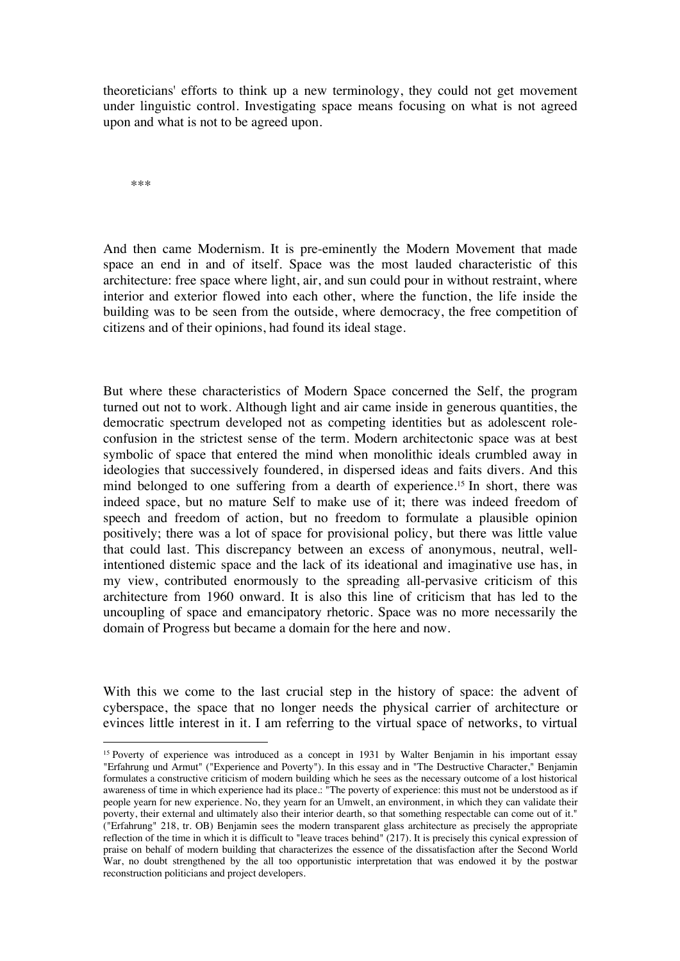theoreticians' efforts to think up a new terminology, they could not get movement under linguistic control. Investigating space means focusing on what is not agreed upon and what is not to be agreed upon.

\*\*\*

And then came Modernism. It is pre-eminently the Modern Movement that made space an end in and of itself. Space was the most lauded characteristic of this architecture: free space where light, air, and sun could pour in without restraint, where interior and exterior flowed into each other, where the function, the life inside the building was to be seen from the outside, where democracy, the free competition of citizens and of their opinions, had found its ideal stage.

But where these characteristics of Modern Space concerned the Self, the program turned out not to work. Although light and air came inside in generous quantities, the democratic spectrum developed not as competing identities but as adolescent roleconfusion in the strictest sense of the term. Modern architectonic space was at best symbolic of space that entered the mind when monolithic ideals crumbled away in ideologies that successively foundered, in dispersed ideas and faits divers. And this mind belonged to one suffering from a dearth of experience.15 In short, there was indeed space, but no mature Self to make use of it; there was indeed freedom of speech and freedom of action, but no freedom to formulate a plausible opinion positively; there was a lot of space for provisional policy, but there was little value that could last. This discrepancy between an excess of anonymous, neutral, wellintentioned distemic space and the lack of its ideational and imaginative use has, in my view, contributed enormously to the spreading all-pervasive criticism of this architecture from 1960 onward. It is also this line of criticism that has led to the uncoupling of space and emancipatory rhetoric. Space was no more necessarily the domain of Progress but became a domain for the here and now.

With this we come to the last crucial step in the history of space: the advent of cyberspace, the space that no longer needs the physical carrier of architecture or evinces little interest in it. I am referring to the virtual space of networks, to virtual

<sup>&</sup>lt;sup>15</sup> Poverty of experience was introduced as a concept in 1931 by Walter Benjamin in his important essay "Erfahrung und Armut" ("Experience and Poverty"). In this essay and in "The Destructive Character," Benjamin formulates a constructive criticism of modern building which he sees as the necessary outcome of a lost historical awareness of time in which experience had its place.: "The poverty of experience: this must not be understood as if people yearn for new experience. No, they yearn for an Umwelt, an environment, in which they can validate their poverty, their external and ultimately also their interior dearth, so that something respectable can come out of it." ("Erfahrung" 218, tr. OB) Benjamin sees the modern transparent glass architecture as precisely the appropriate reflection of the time in which it is difficult to "leave traces behind" (217). It is precisely this cynical expression of praise on behalf of modern building that characterizes the essence of the dissatisfaction after the Second World War, no doubt strengthened by the all too opportunistic interpretation that was endowed it by the postwar reconstruction politicians and project developers.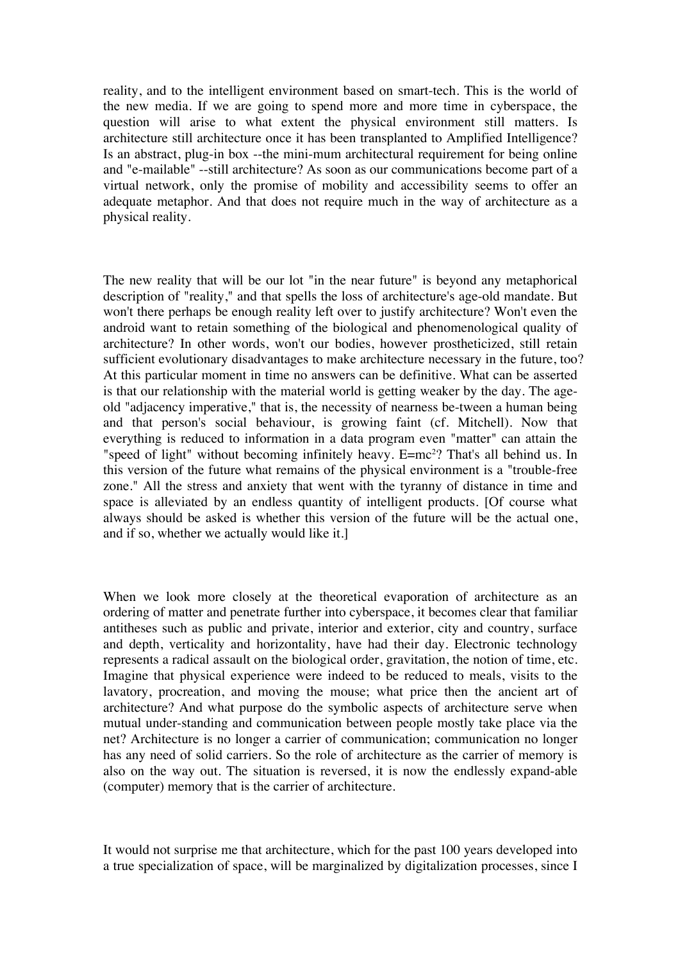reality, and to the intelligent environment based on smart-tech. This is the world of the new media. If we are going to spend more and more time in cyberspace, the question will arise to what extent the physical environment still matters. Is architecture still architecture once it has been transplanted to Amplified Intelligence? Is an abstract, plug-in box --the mini-mum architectural requirement for being online and "e-mailable" --still architecture? As soon as our communications become part of a virtual network, only the promise of mobility and accessibility seems to offer an adequate metaphor. And that does not require much in the way of architecture as a physical reality.

The new reality that will be our lot "in the near future" is beyond any metaphorical description of "reality," and that spells the loss of architecture's age-old mandate. But won't there perhaps be enough reality left over to justify architecture? Won't even the android want to retain something of the biological and phenomenological quality of architecture? In other words, won't our bodies, however prostheticized, still retain sufficient evolutionary disadvantages to make architecture necessary in the future, too? At this particular moment in time no answers can be definitive. What can be asserted is that our relationship with the material world is getting weaker by the day. The ageold "adjacency imperative," that is, the necessity of nearness be-tween a human being and that person's social behaviour, is growing faint (cf. Mitchell). Now that everything is reduced to information in a data program even "matter" can attain the "speed of light" without becoming infinitely heavy. E=mc<sup>2</sup>? That's all behind us. In this version of the future what remains of the physical environment is a "trouble-free zone." All the stress and anxiety that went with the tyranny of distance in time and space is alleviated by an endless quantity of intelligent products. [Of course what always should be asked is whether this version of the future will be the actual one, and if so, whether we actually would like it.]

When we look more closely at the theoretical evaporation of architecture as an ordering of matter and penetrate further into cyberspace, it becomes clear that familiar antitheses such as public and private, interior and exterior, city and country, surface and depth, verticality and horizontality, have had their day. Electronic technology represents a radical assault on the biological order, gravitation, the notion of time, etc. Imagine that physical experience were indeed to be reduced to meals, visits to the lavatory, procreation, and moving the mouse; what price then the ancient art of architecture? And what purpose do the symbolic aspects of architecture serve when mutual under-standing and communication between people mostly take place via the net? Architecture is no longer a carrier of communication; communication no longer has any need of solid carriers. So the role of architecture as the carrier of memory is also on the way out. The situation is reversed, it is now the endlessly expand-able (computer) memory that is the carrier of architecture.

It would not surprise me that architecture, which for the past 100 years developed into a true specialization of space, will be marginalized by digitalization processes, since I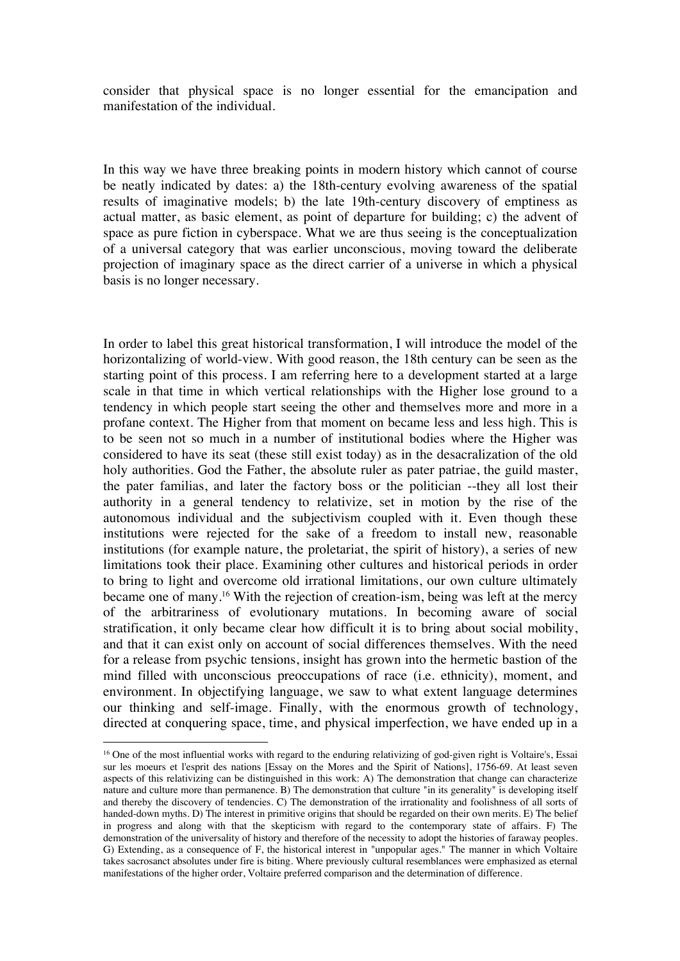consider that physical space is no longer essential for the emancipation and manifestation of the individual.

In this way we have three breaking points in modern history which cannot of course be neatly indicated by dates: a) the 18th-century evolving awareness of the spatial results of imaginative models; b) the late 19th-century discovery of emptiness as actual matter, as basic element, as point of departure for building; c) the advent of space as pure fiction in cyberspace. What we are thus seeing is the conceptualization of a universal category that was earlier unconscious, moving toward the deliberate projection of imaginary space as the direct carrier of a universe in which a physical basis is no longer necessary.

In order to label this great historical transformation, I will introduce the model of the horizontalizing of world-view. With good reason, the 18th century can be seen as the starting point of this process. I am referring here to a development started at a large scale in that time in which vertical relationships with the Higher lose ground to a tendency in which people start seeing the other and themselves more and more in a profane context. The Higher from that moment on became less and less high. This is to be seen not so much in a number of institutional bodies where the Higher was considered to have its seat (these still exist today) as in the desacralization of the old holy authorities. God the Father, the absolute ruler as pater patriae, the guild master, the pater familias, and later the factory boss or the politician --they all lost their authority in a general tendency to relativize, set in motion by the rise of the autonomous individual and the subjectivism coupled with it. Even though these institutions were rejected for the sake of a freedom to install new, reasonable institutions (for example nature, the proletariat, the spirit of history), a series of new limitations took their place. Examining other cultures and historical periods in order to bring to light and overcome old irrational limitations, our own culture ultimately became one of many.16 With the rejection of creation-ism, being was left at the mercy of the arbitrariness of evolutionary mutations. In becoming aware of social stratification, it only became clear how difficult it is to bring about social mobility, and that it can exist only on account of social differences themselves. With the need for a release from psychic tensions, insight has grown into the hermetic bastion of the mind filled with unconscious preoccupations of race (i.e. ethnicity), moment, and environment. In objectifying language, we saw to what extent language determines our thinking and self-image. Finally, with the enormous growth of technology, directed at conquering space, time, and physical imperfection, we have ended up in a

<sup>&</sup>lt;sup>16</sup> One of the most influential works with regard to the enduring relativizing of god-given right is Voltaire's, Essai sur les moeurs et l'esprit des nations [Essay on the Mores and the Spirit of Nations], 1756-69. At least seven aspects of this relativizing can be distinguished in this work: A) The demonstration that change can characterize nature and culture more than permanence. B) The demonstration that culture "in its generality" is developing itself and thereby the discovery of tendencies. C) The demonstration of the irrationality and foolishness of all sorts of handed-down myths. D) The interest in primitive origins that should be regarded on their own merits. E) The belief in progress and along with that the skepticism with regard to the contemporary state of affairs. F) The demonstration of the universality of history and therefore of the necessity to adopt the histories of faraway peoples. G) Extending, as a consequence of F, the historical interest in "unpopular ages." The manner in which Voltaire takes sacrosanct absolutes under fire is biting. Where previously cultural resemblances were emphasized as eternal manifestations of the higher order, Voltaire preferred comparison and the determination of difference.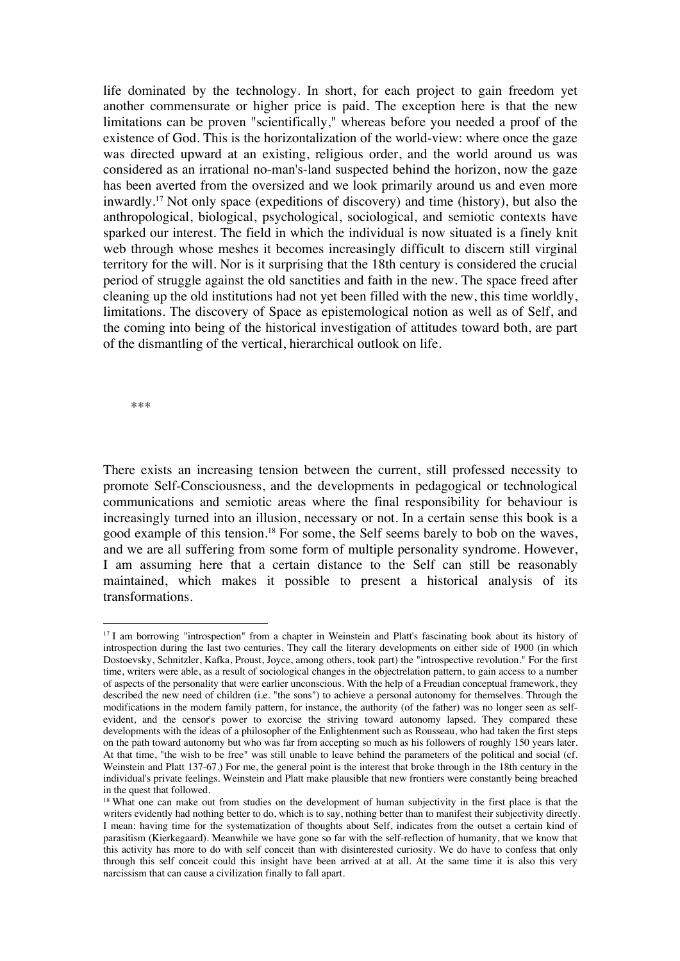life dominated by the technology. In short, for each project to gain freedom yet another commensurate or higher price is paid. The exception here is that the new limitations can be proven "scientifically," whereas before you needed a proof of the existence of God. This is the horizontalization of the world-view: where once the gaze was directed upward at an existing, religious order, and the world around us was considered as an irrational no-man's-land suspected behind the horizon, now the gaze has been averted from the oversized and we look primarily around us and even more inwardly.17 Not only space (expeditions of discovery) and time (history), but also the anthropological, biological, psychological, sociological, and semiotic contexts have sparked our interest. The field in which the individual is now situated is a finely knit web through whose meshes it becomes increasingly difficult to discern still virginal territory for the will. Nor is it surprising that the 18th century is considered the crucial period of struggle against the old sanctities and faith in the new. The space freed after cleaning up the old institutions had not yet been filled with the new, this time worldly, limitations. The discovery of Space as epistemological notion as well as of Self, and the coming into being of the historical investigation of attitudes toward both, are part of the dismantling of the vertical, hierarchical outlook on life.

\*\*\*

There exists an increasing tension between the current, still professed necessity to promote Self-Consciousness, and the developments in pedagogical or technological communications and semiotic areas where the final responsibility for behaviour is increasingly turned into an illusion, necessary or not. In a certain sense this book is a good example of this tension.18 For some, the Self seems barely to bob on the waves, and we are all suffering from some form of multiple personality syndrome. However, I am assuming here that a certain distance to the Self can still be reasonably maintained, which makes it possible to present a historical analysis of its transformations.

<sup>&</sup>lt;sup>17</sup> I am borrowing "introspection" from a chapter in Weinstein and Platt's fascinating book about its history of introspection during the last two centuries. They call the literary developments on either side of 1900 (in which Dostoevsky, Schnitzler, Kafka, Proust, Joyce, among others, took part) the "introspective revolution." For the first time, writers were able, as a result of sociological changes in the objectrelation pattern, to gain access to a number of aspects of the personality that were earlier unconscious. With the help of a Freudian conceptual framework, they described the new need of children (i.e. "the sons") to achieve a personal autonomy for themselves. Through the modifications in the modern family pattern, for instance, the authority (of the father) was no longer seen as selfevident, and the censor's power to exorcise the striving toward autonomy lapsed. They compared these developments with the ideas of a philosopher of the Enlightenment such as Rousseau, who had taken the first steps on the path toward autonomy but who was far from accepting so much as his followers of roughly 150 years later. At that time, "the wish to be free" was still unable to leave behind the parameters of the political and social (cf. Weinstein and Platt 137-67.) For me, the general point is the interest that broke through in the 18th century in the individual's private feelings. Weinstein and Platt make plausible that new frontiers were constantly being breached in the quest that followed.

<sup>&</sup>lt;sup>18</sup> What one can make out from studies on the development of human subjectivity in the first place is that the writers evidently had nothing better to do, which is to say, nothing better than to manifest their subjectivity directly. I mean: having time for the systematization of thoughts about Self, indicates from the outset a certain kind of parasitism (Kierkegaard). Meanwhile we have gone so far with the self-reflection of humanity, that we know that this activity has more to do with self conceit than with disinterested curiosity. We do have to confess that only through this self conceit could this insight have been arrived at at all. At the same time it is also this very narcissism that can cause a civilization finally to fall apart.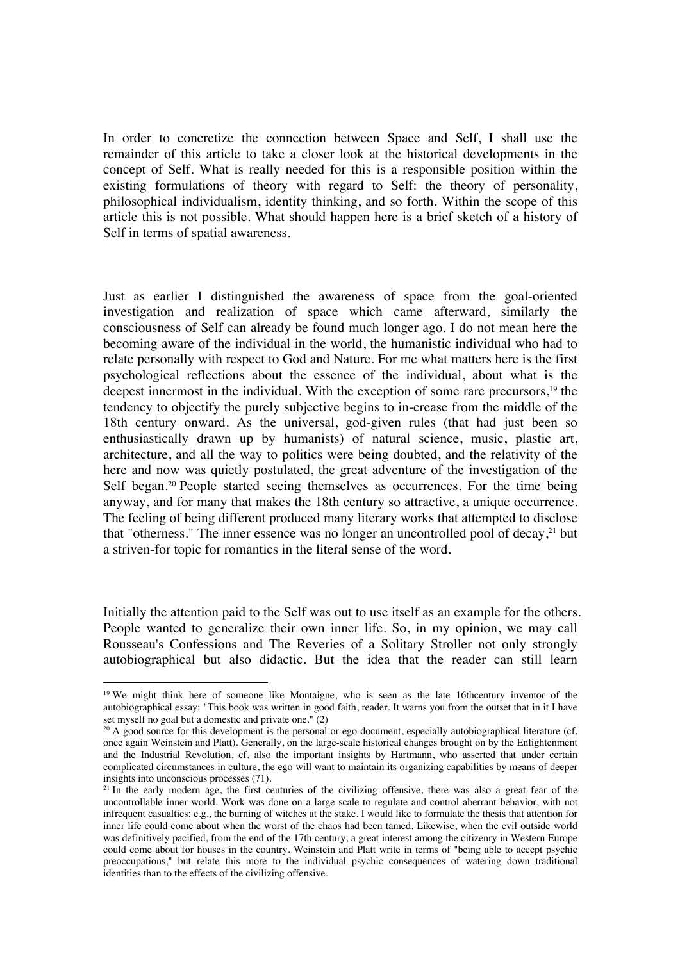In order to concretize the connection between Space and Self, I shall use the remainder of this article to take a closer look at the historical developments in the concept of Self. What is really needed for this is a responsible position within the existing formulations of theory with regard to Self: the theory of personality, philosophical individualism, identity thinking, and so forth. Within the scope of this article this is not possible. What should happen here is a brief sketch of a history of Self in terms of spatial awareness.

Just as earlier I distinguished the awareness of space from the goal-oriented investigation and realization of space which came afterward, similarly the consciousness of Self can already be found much longer ago. I do not mean here the becoming aware of the individual in the world, the humanistic individual who had to relate personally with respect to God and Nature. For me what matters here is the first psychological reflections about the essence of the individual, about what is the deepest innermost in the individual. With the exception of some rare precursors,<sup>19</sup> the tendency to objectify the purely subjective begins to in-crease from the middle of the 18th century onward. As the universal, god-given rules (that had just been so enthusiastically drawn up by humanists) of natural science, music, plastic art, architecture, and all the way to politics were being doubted, and the relativity of the here and now was quietly postulated, the great adventure of the investigation of the Self began.<sup>20</sup> People started seeing themselves as occurrences. For the time being anyway, and for many that makes the 18th century so attractive, a unique occurrence. The feeling of being different produced many literary works that attempted to disclose that "otherness." The inner essence was no longer an uncontrolled pool of decay, $2<sup>1</sup>$  but a striven-for topic for romantics in the literal sense of the word.

Initially the attention paid to the Self was out to use itself as an example for the others. People wanted to generalize their own inner life. So, in my opinion, we may call Rousseau's Confessions and The Reveries of a Solitary Stroller not only strongly autobiographical but also didactic. But the idea that the reader can still learn

<sup>&</sup>lt;sup>19</sup> We might think here of someone like Montaigne, who is seen as the late 16thcentury inventor of the autobiographical essay: "This book was written in good faith, reader. It warns you from the outset that in it I have set myself no goal but a domestic and private one." (2)

 $20$  A good source for this development is the personal or ego document, especially autobiographical literature (cf. once again Weinstein and Platt). Generally, on the large-scale historical changes brought on by the Enlightenment and the Industrial Revolution, cf. also the important insights by Hartmann, who asserted that under certain complicated circumstances in culture, the ego will want to maintain its organizing capabilities by means of deeper insights into unconscious processes (71).

<sup>&</sup>lt;sup>21</sup> In the early modern age, the first centuries of the civilizing offensive, there was also a great fear of the uncontrollable inner world. Work was done on a large scale to regulate and control aberrant behavior, with not infrequent casualties: e.g., the burning of witches at the stake. I would like to formulate the thesis that attention for inner life could come about when the worst of the chaos had been tamed. Likewise, when the evil outside world was definitively pacified, from the end of the 17th century, a great interest among the citizenry in Western Europe could come about for houses in the country. Weinstein and Platt write in terms of "being able to accept psychic preoccupations," but relate this more to the individual psychic consequences of watering down traditional identities than to the effects of the civilizing offensive.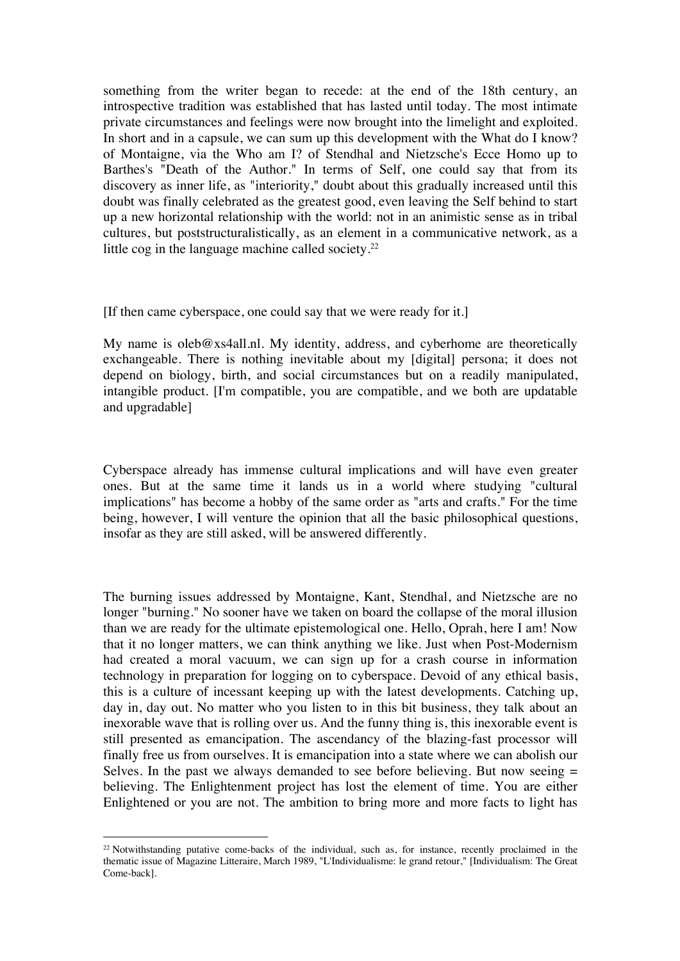something from the writer began to recede: at the end of the 18th century, an introspective tradition was established that has lasted until today. The most intimate private circumstances and feelings were now brought into the limelight and exploited. In short and in a capsule, we can sum up this development with the What do I know? of Montaigne, via the Who am I? of Stendhal and Nietzsche's Ecce Homo up to Barthes's "Death of the Author." In terms of Self, one could say that from its discovery as inner life, as "interiority," doubt about this gradually increased until this doubt was finally celebrated as the greatest good, even leaving the Self behind to start up a new horizontal relationship with the world: not in an animistic sense as in tribal cultures, but poststructuralistically, as an element in a communicative network, as a little cog in the language machine called society.<sup>22</sup>

[If then came cyberspace, one could say that we were ready for it.]

My name is oleb@xs4all.nl. My identity, address, and cyberhome are theoretically exchangeable. There is nothing inevitable about my [digital] persona; it does not depend on biology, birth, and social circumstances but on a readily manipulated, intangible product. [I'm compatible, you are compatible, and we both are updatable and upgradable]

Cyberspace already has immense cultural implications and will have even greater ones. But at the same time it lands us in a world where studying "cultural implications" has become a hobby of the same order as "arts and crafts." For the time being, however, I will venture the opinion that all the basic philosophical questions, insofar as they are still asked, will be answered differently.

The burning issues addressed by Montaigne, Kant, Stendhal, and Nietzsche are no longer "burning." No sooner have we taken on board the collapse of the moral illusion than we are ready for the ultimate epistemological one. Hello, Oprah, here I am! Now that it no longer matters, we can think anything we like. Just when Post-Modernism had created a moral vacuum, we can sign up for a crash course in information technology in preparation for logging on to cyberspace. Devoid of any ethical basis, this is a culture of incessant keeping up with the latest developments. Catching up, day in, day out. No matter who you listen to in this bit business, they talk about an inexorable wave that is rolling over us. And the funny thing is, this inexorable event is still presented as emancipation. The ascendancy of the blazing-fast processor will finally free us from ourselves. It is emancipation into a state where we can abolish our Selves. In the past we always demanded to see before believing. But now seeing  $=$ believing. The Enlightenment project has lost the element of time. You are either Enlightened or you are not. The ambition to bring more and more facts to light has

 $22$  Notwithstanding putative come-backs of the individual, such as, for instance, recently proclaimed in the thematic issue of Magazine Litteraire, March 1989, "L'Individualisme: le grand retour," [Individualism: The Great Come-back].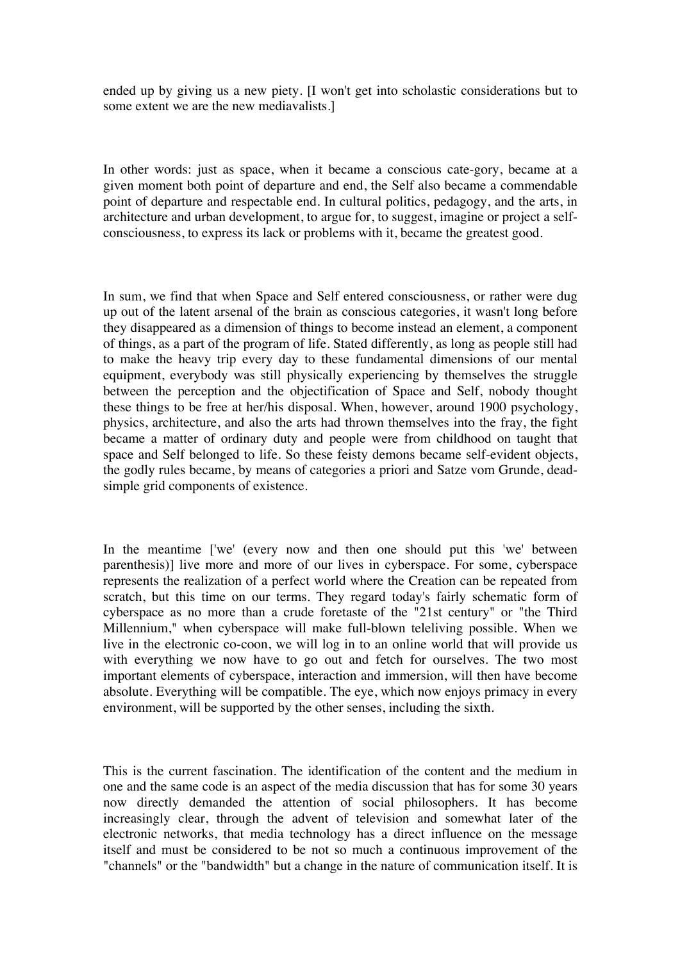ended up by giving us a new piety. [I won't get into scholastic considerations but to some extent we are the new mediavalists.]

In other words: just as space, when it became a conscious cate-gory, became at a given moment both point of departure and end, the Self also became a commendable point of departure and respectable end. In cultural politics, pedagogy, and the arts, in architecture and urban development, to argue for, to suggest, imagine or project a selfconsciousness, to express its lack or problems with it, became the greatest good.

In sum, we find that when Space and Self entered consciousness, or rather were dug up out of the latent arsenal of the brain as conscious categories, it wasn't long before they disappeared as a dimension of things to become instead an element, a component of things, as a part of the program of life. Stated differently, as long as people still had to make the heavy trip every day to these fundamental dimensions of our mental equipment, everybody was still physically experiencing by themselves the struggle between the perception and the objectification of Space and Self, nobody thought these things to be free at her/his disposal. When, however, around 1900 psychology, physics, architecture, and also the arts had thrown themselves into the fray, the fight became a matter of ordinary duty and people were from childhood on taught that space and Self belonged to life. So these feisty demons became self-evident objects, the godly rules became, by means of categories a priori and Satze vom Grunde, deadsimple grid components of existence.

In the meantime ['we' (every now and then one should put this 'we' between parenthesis)] live more and more of our lives in cyberspace. For some, cyberspace represents the realization of a perfect world where the Creation can be repeated from scratch, but this time on our terms. They regard today's fairly schematic form of cyberspace as no more than a crude foretaste of the "21st century" or "the Third Millennium," when cyberspace will make full-blown teleliving possible. When we live in the electronic co-coon, we will log in to an online world that will provide us with everything we now have to go out and fetch for ourselves. The two most important elements of cyberspace, interaction and immersion, will then have become absolute. Everything will be compatible. The eye, which now enjoys primacy in every environment, will be supported by the other senses, including the sixth.

This is the current fascination. The identification of the content and the medium in one and the same code is an aspect of the media discussion that has for some 30 years now directly demanded the attention of social philosophers. It has become increasingly clear, through the advent of television and somewhat later of the electronic networks, that media technology has a direct influence on the message itself and must be considered to be not so much a continuous improvement of the "channels" or the "bandwidth" but a change in the nature of communication itself. It is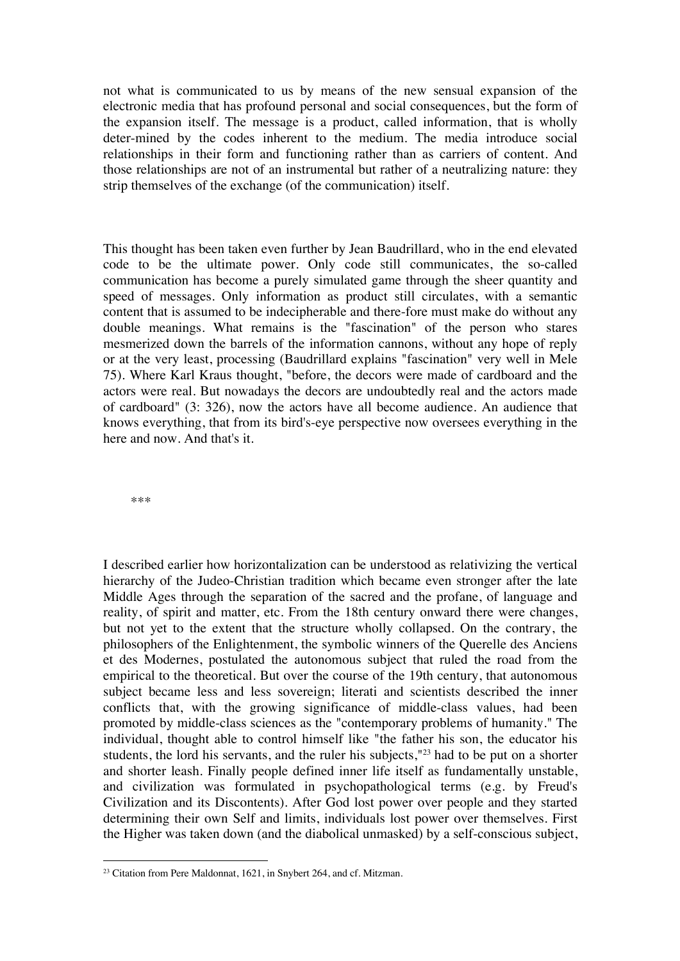not what is communicated to us by means of the new sensual expansion of the electronic media that has profound personal and social consequences, but the form of the expansion itself. The message is a product, called information, that is wholly deter-mined by the codes inherent to the medium. The media introduce social relationships in their form and functioning rather than as carriers of content. And those relationships are not of an instrumental but rather of a neutralizing nature: they strip themselves of the exchange (of the communication) itself.

This thought has been taken even further by Jean Baudrillard, who in the end elevated code to be the ultimate power. Only code still communicates, the so-called communication has become a purely simulated game through the sheer quantity and speed of messages. Only information as product still circulates, with a semantic content that is assumed to be indecipherable and there-fore must make do without any double meanings. What remains is the "fascination" of the person who stares mesmerized down the barrels of the information cannons, without any hope of reply or at the very least, processing (Baudrillard explains "fascination" very well in Mele 75). Where Karl Kraus thought, "before, the decors were made of cardboard and the actors were real. But nowadays the decors are undoubtedly real and the actors made of cardboard" (3: 326), now the actors have all become audience. An audience that knows everything, that from its bird's-eye perspective now oversees everything in the here and now. And that's it.

\*\*\*

I described earlier how horizontalization can be understood as relativizing the vertical hierarchy of the Judeo-Christian tradition which became even stronger after the late Middle Ages through the separation of the sacred and the profane, of language and reality, of spirit and matter, etc. From the 18th century onward there were changes, but not yet to the extent that the structure wholly collapsed. On the contrary, the philosophers of the Enlightenment, the symbolic winners of the Querelle des Anciens et des Modernes, postulated the autonomous subject that ruled the road from the empirical to the theoretical. But over the course of the 19th century, that autonomous subject became less and less sovereign; literati and scientists described the inner conflicts that, with the growing significance of middle-class values, had been promoted by middle-class sciences as the "contemporary problems of humanity." The individual, thought able to control himself like "the father his son, the educator his students, the lord his servants, and the ruler his subjects,"<sup>23</sup> had to be put on a shorter and shorter leash. Finally people defined inner life itself as fundamentally unstable, and civilization was formulated in psychopathological terms (e.g. by Freud's Civilization and its Discontents). After God lost power over people and they started determining their own Self and limits, individuals lost power over themselves. First the Higher was taken down (and the diabolical unmasked) by a self-conscious subject,

<sup>&</sup>lt;sup>23</sup> Citation from Pere Maldonnat, 1621, in Snybert 264, and cf. Mitzman.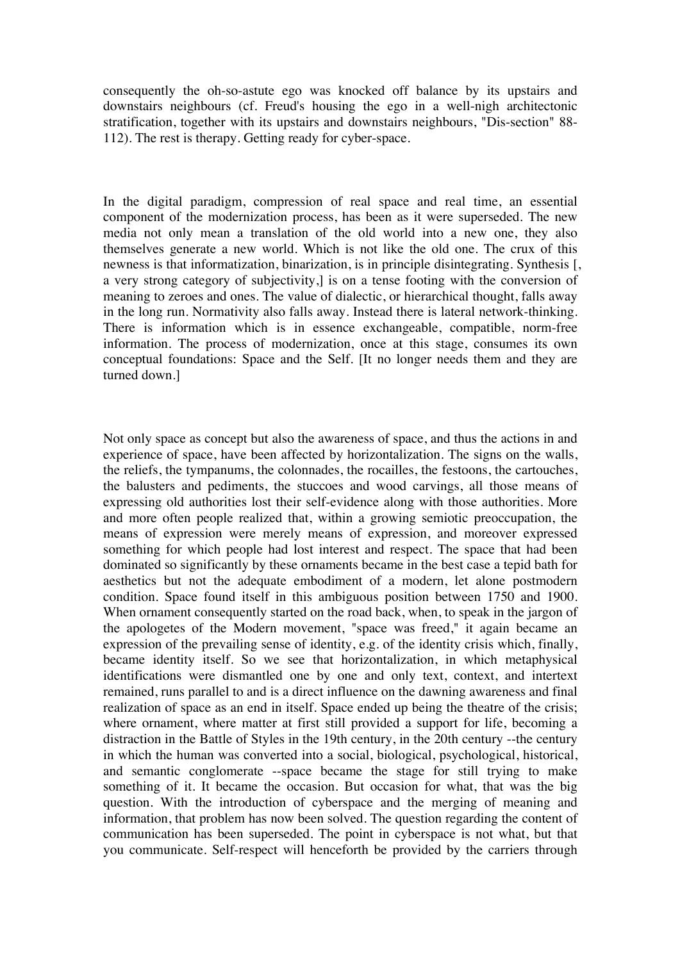consequently the oh-so-astute ego was knocked off balance by its upstairs and downstairs neighbours (cf. Freud's housing the ego in a well-nigh architectonic stratification, together with its upstairs and downstairs neighbours, "Dis-section" 88- 112). The rest is therapy. Getting ready for cyber-space.

In the digital paradigm, compression of real space and real time, an essential component of the modernization process, has been as it were superseded. The new media not only mean a translation of the old world into a new one, they also themselves generate a new world. Which is not like the old one. The crux of this newness is that informatization, binarization, is in principle disintegrating. Synthesis [, a very strong category of subjectivity,] is on a tense footing with the conversion of meaning to zeroes and ones. The value of dialectic, or hierarchical thought, falls away in the long run. Normativity also falls away. Instead there is lateral network-thinking. There is information which is in essence exchangeable, compatible, norm-free information. The process of modernization, once at this stage, consumes its own conceptual foundations: Space and the Self. [It no longer needs them and they are turned down.]

Not only space as concept but also the awareness of space, and thus the actions in and experience of space, have been affected by horizontalization. The signs on the walls, the reliefs, the tympanums, the colonnades, the rocailles, the festoons, the cartouches, the balusters and pediments, the stuccoes and wood carvings, all those means of expressing old authorities lost their self-evidence along with those authorities. More and more often people realized that, within a growing semiotic preoccupation, the means of expression were merely means of expression, and moreover expressed something for which people had lost interest and respect. The space that had been dominated so significantly by these ornaments became in the best case a tepid bath for aesthetics but not the adequate embodiment of a modern, let alone postmodern condition. Space found itself in this ambiguous position between 1750 and 1900. When ornament consequently started on the road back, when, to speak in the jargon of the apologetes of the Modern movement, "space was freed," it again became an expression of the prevailing sense of identity, e.g. of the identity crisis which, finally, became identity itself. So we see that horizontalization, in which metaphysical identifications were dismantled one by one and only text, context, and intertext remained, runs parallel to and is a direct influence on the dawning awareness and final realization of space as an end in itself. Space ended up being the theatre of the crisis; where ornament, where matter at first still provided a support for life, becoming a distraction in the Battle of Styles in the 19th century, in the 20th century --the century in which the human was converted into a social, biological, psychological, historical, and semantic conglomerate --space became the stage for still trying to make something of it. It became the occasion. But occasion for what, that was the big question. With the introduction of cyberspace and the merging of meaning and information, that problem has now been solved. The question regarding the content of communication has been superseded. The point in cyberspace is not what, but that you communicate. Self-respect will henceforth be provided by the carriers through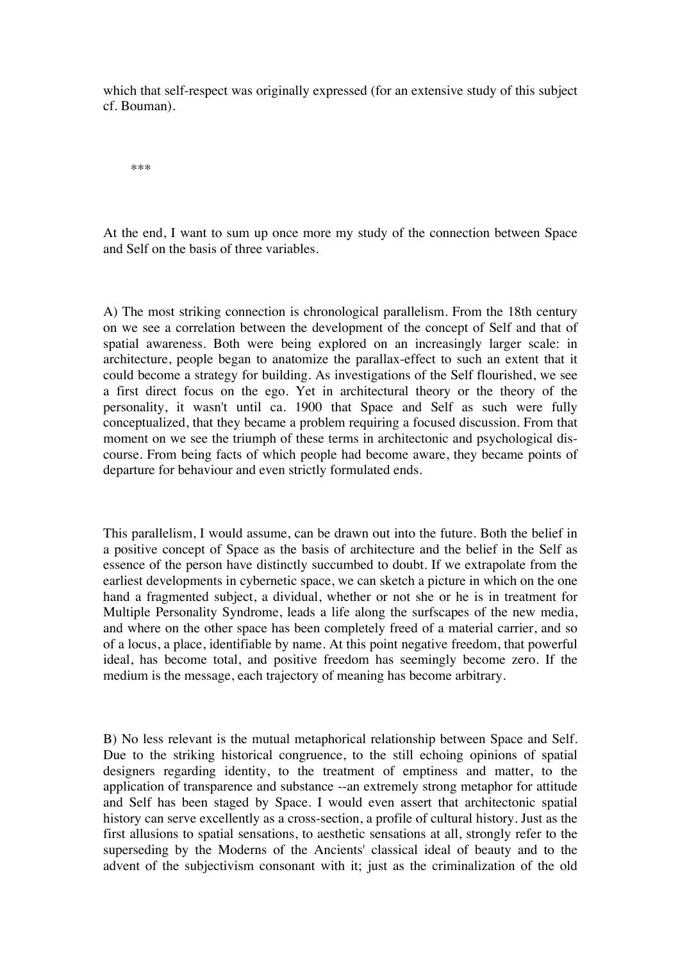which that self-respect was originally expressed (for an extensive study of this subject cf. Bouman).

\*\*\*

At the end, I want to sum up once more my study of the connection between Space and Self on the basis of three variables.

A) The most striking connection is chronological parallelism. From the 18th century on we see a correlation between the development of the concept of Self and that of spatial awareness. Both were being explored on an increasingly larger scale: in architecture, people began to anatomize the parallax-effect to such an extent that it could become a strategy for building. As investigations of the Self flourished, we see a first direct focus on the ego. Yet in architectural theory or the theory of the personality, it wasn't until ca. 1900 that Space and Self as such were fully conceptualized, that they became a problem requiring a focused discussion. From that moment on we see the triumph of these terms in architectonic and psychological discourse. From being facts of which people had become aware, they became points of departure for behaviour and even strictly formulated ends.

This parallelism, I would assume, can be drawn out into the future. Both the belief in a positive concept of Space as the basis of architecture and the belief in the Self as essence of the person have distinctly succumbed to doubt. If we extrapolate from the earliest developments in cybernetic space, we can sketch a picture in which on the one hand a fragmented subject, a dividual, whether or not she or he is in treatment for Multiple Personality Syndrome, leads a life along the surfscapes of the new media, and where on the other space has been completely freed of a material carrier, and so of a locus, a place, identifiable by name. At this point negative freedom, that powerful ideal, has become total, and positive freedom has seemingly become zero. If the medium is the message, each trajectory of meaning has become arbitrary.

B) No less relevant is the mutual metaphorical relationship between Space and Self. Due to the striking historical congruence, to the still echoing opinions of spatial designers regarding identity, to the treatment of emptiness and matter, to the application of transparence and substance --an extremely strong metaphor for attitude and Self has been staged by Space. I would even assert that architectonic spatial history can serve excellently as a cross-section, a profile of cultural history. Just as the first allusions to spatial sensations, to aesthetic sensations at all, strongly refer to the superseding by the Moderns of the Ancients' classical ideal of beauty and to the advent of the subjectivism consonant with it; just as the criminalization of the old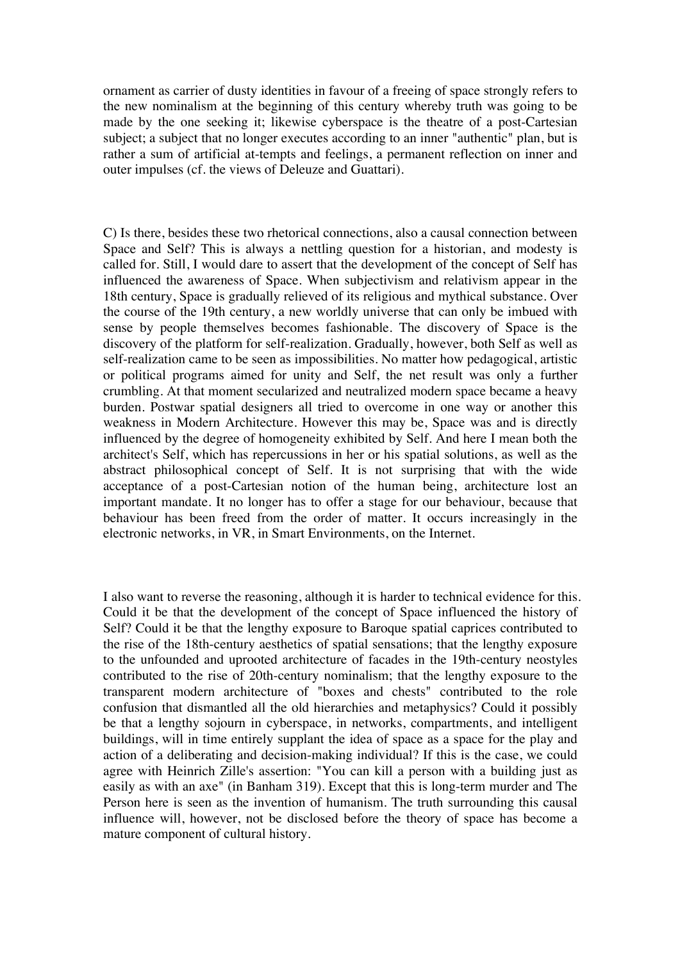ornament as carrier of dusty identities in favour of a freeing of space strongly refers to the new nominalism at the beginning of this century whereby truth was going to be made by the one seeking it; likewise cyberspace is the theatre of a post-Cartesian subject; a subject that no longer executes according to an inner "authentic" plan, but is rather a sum of artificial at-tempts and feelings, a permanent reflection on inner and outer impulses (cf. the views of Deleuze and Guattari).

C) Is there, besides these two rhetorical connections, also a causal connection between Space and Self? This is always a nettling question for a historian, and modesty is called for. Still, I would dare to assert that the development of the concept of Self has influenced the awareness of Space. When subjectivism and relativism appear in the 18th century, Space is gradually relieved of its religious and mythical substance. Over the course of the 19th century, a new worldly universe that can only be imbued with sense by people themselves becomes fashionable. The discovery of Space is the discovery of the platform for self-realization. Gradually, however, both Self as well as self-realization came to be seen as impossibilities. No matter how pedagogical, artistic or political programs aimed for unity and Self, the net result was only a further crumbling. At that moment secularized and neutralized modern space became a heavy burden. Postwar spatial designers all tried to overcome in one way or another this weakness in Modern Architecture. However this may be, Space was and is directly influenced by the degree of homogeneity exhibited by Self. And here I mean both the architect's Self, which has repercussions in her or his spatial solutions, as well as the abstract philosophical concept of Self. It is not surprising that with the wide acceptance of a post-Cartesian notion of the human being, architecture lost an important mandate. It no longer has to offer a stage for our behaviour, because that behaviour has been freed from the order of matter. It occurs increasingly in the electronic networks, in VR, in Smart Environments, on the Internet.

I also want to reverse the reasoning, although it is harder to technical evidence for this. Could it be that the development of the concept of Space influenced the history of Self? Could it be that the lengthy exposure to Baroque spatial caprices contributed to the rise of the 18th-century aesthetics of spatial sensations; that the lengthy exposure to the unfounded and uprooted architecture of facades in the 19th-century neostyles contributed to the rise of 20th-century nominalism; that the lengthy exposure to the transparent modern architecture of "boxes and chests" contributed to the role confusion that dismantled all the old hierarchies and metaphysics? Could it possibly be that a lengthy sojourn in cyberspace, in networks, compartments, and intelligent buildings, will in time entirely supplant the idea of space as a space for the play and action of a deliberating and decision-making individual? If this is the case, we could agree with Heinrich Zille's assertion: "You can kill a person with a building just as easily as with an axe" (in Banham 319). Except that this is long-term murder and The Person here is seen as the invention of humanism. The truth surrounding this causal influence will, however, not be disclosed before the theory of space has become a mature component of cultural history.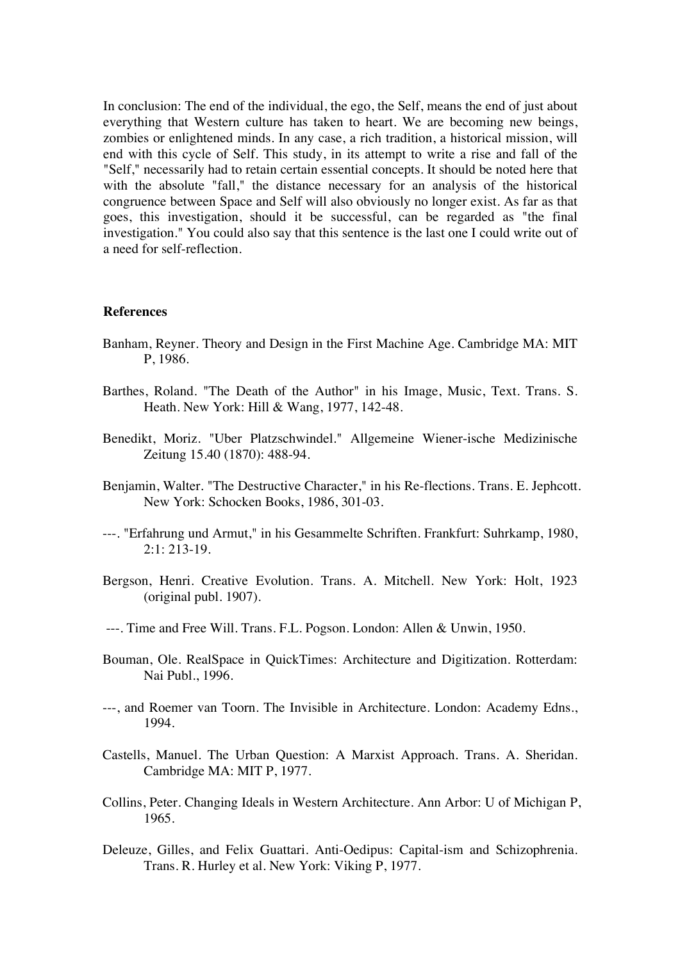In conclusion: The end of the individual, the ego, the Self, means the end of just about everything that Western culture has taken to heart. We are becoming new beings, zombies or enlightened minds. In any case, a rich tradition, a historical mission, will end with this cycle of Self. This study, in its attempt to write a rise and fall of the "Self," necessarily had to retain certain essential concepts. It should be noted here that with the absolute "fall," the distance necessary for an analysis of the historical congruence between Space and Self will also obviously no longer exist. As far as that goes, this investigation, should it be successful, can be regarded as "the final investigation." You could also say that this sentence is the last one I could write out of a need for self-reflection.

## **References**

- Banham, Reyner. Theory and Design in the First Machine Age. Cambridge MA: MIT P, 1986.
- Barthes, Roland. "The Death of the Author" in his Image, Music, Text. Trans. S. Heath. New York: Hill & Wang, 1977, 142-48.
- Benedikt, Moriz. "Uber Platzschwindel." Allgemeine Wiener-ische Medizinische Zeitung 15.40 (1870): 488-94.
- Benjamin, Walter. "The Destructive Character," in his Re-flections. Trans. E. Jephcott. New York: Schocken Books, 1986, 301-03.
- ---. "Erfahrung und Armut," in his Gesammelte Schriften. Frankfurt: Suhrkamp, 1980, 2:1: 213-19.
- Bergson, Henri. Creative Evolution. Trans. A. Mitchell. New York: Holt, 1923 (original publ. 1907).
- ---. Time and Free Will. Trans. F.L. Pogson. London: Allen & Unwin, 1950.
- Bouman, Ole. RealSpace in QuickTimes: Architecture and Digitization. Rotterdam: Nai Publ., 1996.
- ---, and Roemer van Toorn. The Invisible in Architecture. London: Academy Edns., 1994.
- Castells, Manuel. The Urban Question: A Marxist Approach. Trans. A. Sheridan. Cambridge MA: MIT P, 1977.
- Collins, Peter. Changing Ideals in Western Architecture. Ann Arbor: U of Michigan P, 1965.
- Deleuze, Gilles, and Felix Guattari. Anti-Oedipus: Capital-ism and Schizophrenia. Trans. R. Hurley et al. New York: Viking P, 1977.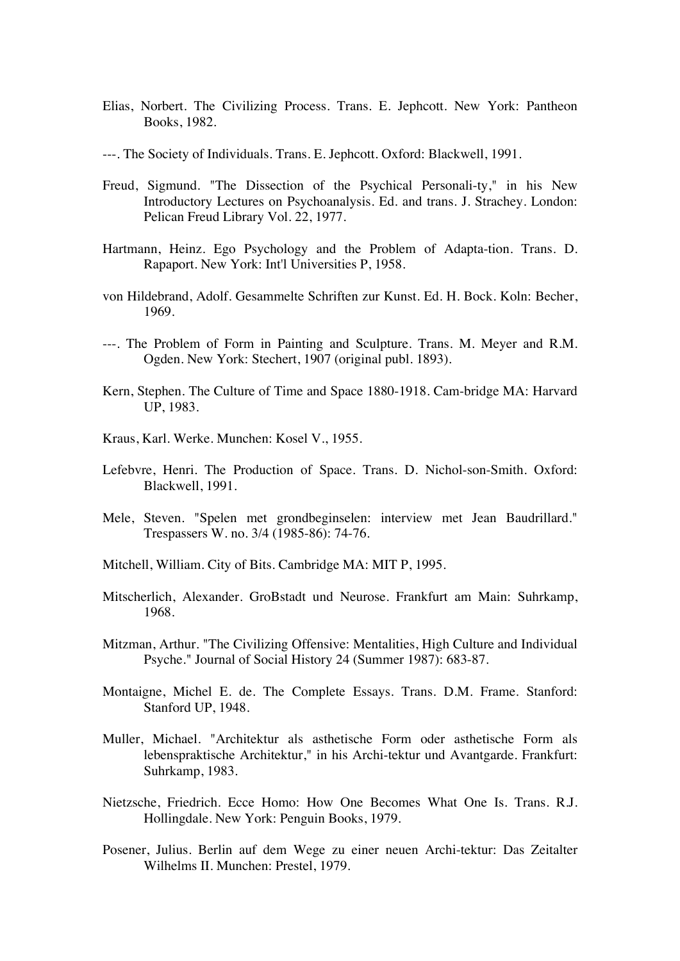- Elias, Norbert. The Civilizing Process. Trans. E. Jephcott. New York: Pantheon Books, 1982.
- ---. The Society of Individuals. Trans. E. Jephcott. Oxford: Blackwell, 1991.
- Freud, Sigmund. "The Dissection of the Psychical Personali-ty," in his New Introductory Lectures on Psychoanalysis. Ed. and trans. J. Strachey. London: Pelican Freud Library Vol. 22, 1977.
- Hartmann, Heinz. Ego Psychology and the Problem of Adapta-tion. Trans. D. Rapaport. New York: Int'l Universities P, 1958.
- von Hildebrand, Adolf. Gesammelte Schriften zur Kunst. Ed. H. Bock. Koln: Becher, 1969.
- ---. The Problem of Form in Painting and Sculpture. Trans. M. Meyer and R.M. Ogden. New York: Stechert, 1907 (original publ. 1893).
- Kern, Stephen. The Culture of Time and Space 1880-1918. Cam-bridge MA: Harvard UP, 1983.
- Kraus, Karl. Werke. Munchen: Kosel V., 1955.
- Lefebvre, Henri. The Production of Space. Trans. D. Nichol-son-Smith. Oxford: Blackwell, 1991.
- Mele, Steven. "Spelen met grondbeginselen: interview met Jean Baudrillard." Trespassers W. no. 3/4 (1985-86): 74-76.
- Mitchell, William. City of Bits. Cambridge MA: MIT P, 1995.
- Mitscherlich, Alexander. GroBstadt und Neurose. Frankfurt am Main: Suhrkamp, 1968.
- Mitzman, Arthur. "The Civilizing Offensive: Mentalities, High Culture and Individual Psyche." Journal of Social History 24 (Summer 1987): 683-87.
- Montaigne, Michel E. de. The Complete Essays. Trans. D.M. Frame. Stanford: Stanford UP, 1948.
- Muller, Michael. "Architektur als asthetische Form oder asthetische Form als lebenspraktische Architektur," in his Archi-tektur und Avantgarde. Frankfurt: Suhrkamp, 1983.
- Nietzsche, Friedrich. Ecce Homo: How One Becomes What One Is. Trans. R.J. Hollingdale. New York: Penguin Books, 1979.
- Posener, Julius. Berlin auf dem Wege zu einer neuen Archi-tektur: Das Zeitalter Wilhelms II. Munchen: Prestel, 1979.